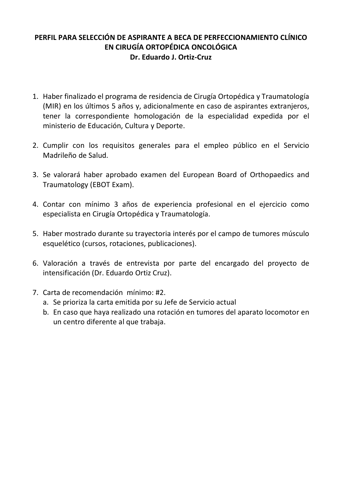## **PERFIL PARA SELECCIÓN DE ASPIRANTE A BECA DE PERFECCIONAMIENTO CLÍNICO EN CIRUGÍA ORTOPÉDICA ONCOLÓGICA Dr. Eduardo J. Ortiz-Cruz**

- 1. Haber finalizado el programa de residencia de Cirugía Ortopédica y Traumatología (MIR) en los últimos 5 años y, adicionalmente en caso de aspirantes extranjeros, tener la correspondiente homologación de la especialidad expedida por el ministerio de Educación, Cultura y Deporte.
- 2. Cumplir con los requisitos generales para el empleo público en el Servicio Madrileño de Salud.
- 3. Se valorará haber aprobado examen del European Board of Orthopaedics and Traumatology (EBOT Exam).
- 4. Contar con mínimo 3 años de experiencia profesional en el ejercicio como especialista en Cirugía Ortopédica y Traumatología.
- 5. Haber mostrado durante su trayectoria interés por el campo de tumores músculo esquelético (cursos, rotaciones, publicaciones).
- 6. Valoración a través de entrevista por parte del encargado del proyecto de intensificación (Dr. Eduardo Ortiz Cruz).
- 7. Carta de recomendación mínimo: #2.
	- a. Se prioriza la carta emitida por su Jefe de Servicio actual
	- b. En caso que haya realizado una rotación en tumores del aparato locomotor en un centro diferente al que trabaja.